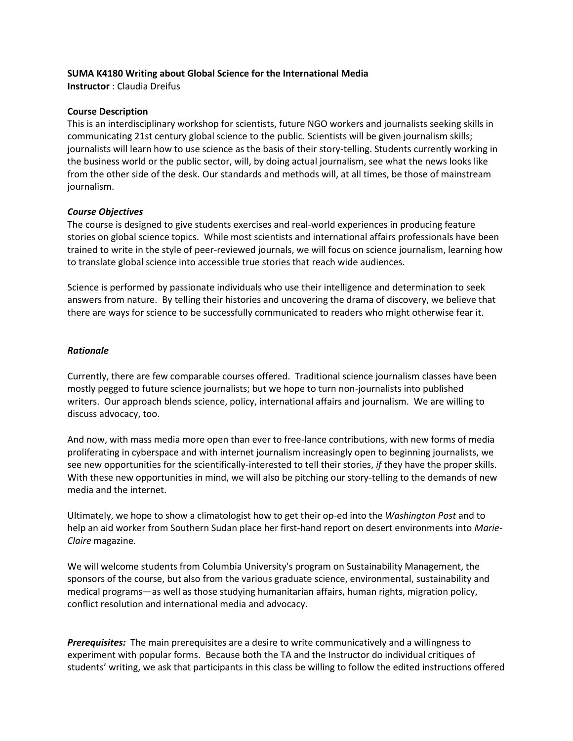# **SUMA K4180 Writing about Global Science for the International Media**

**Instructor** : Claudia Dreifus

## **Course Description**

This is an interdisciplinary workshop for scientists, future NGO workers and journalists seeking skills in communicating 21st century global science to the public. Scientists will be given journalism skills; journalists will learn how to use science as the basis of their story-telling. Students currently working in the business world or the public sector, will, by doing actual journalism, see what the news looks like from the other side of the desk. Our standards and methods will, at all times, be those of mainstream journalism.

# *Course Objectives*

The course is designed to give students exercises and real-world experiences in producing feature stories on global science topics. While most scientists and international affairs professionals have been trained to write in the style of peer-reviewed journals, we will focus on science journalism, learning how to translate global science into accessible true stories that reach wide audiences.

Science is performed by passionate individuals who use their intelligence and determination to seek answers from nature. By telling their histories and uncovering the drama of discovery, we believe that there are ways for science to be successfully communicated to readers who might otherwise fear it.

## *Rationale*

Currently, there are few comparable courses offered. Traditional science journalism classes have been mostly pegged to future science journalists; but we hope to turn non-journalists into published writers. Our approach blends science, policy, international affairs and journalism. We are willing to discuss advocacy, too.

And now, with mass media more open than ever to free-lance contributions, with new forms of media proliferating in cyberspace and with internet journalism increasingly open to beginning journalists, we see new opportunities for the scientifically-interested to tell their stories, *if* they have the proper skills. With these new opportunities in mind, we will also be pitching our story-telling to the demands of new media and the internet.

Ultimately, we hope to show a climatologist how to get their op-ed into the *Washington Post* and to help an aid worker from Southern Sudan place her first-hand report on desert environments into *Marie-Claire* magazine.

We will welcome students from Columbia University's program on Sustainability Management, the sponsors of the course, but also from the various graduate science, environmental, sustainability and medical programs—as well as those studying humanitarian affairs, human rights, migration policy, conflict resolution and international media and advocacy.

*Prerequisites:* The main prerequisites are a desire to write communicatively and a willingness to experiment with popular forms. Because both the TA and the Instructor do individual critiques of students' writing, we ask that participants in this class be willing to follow the edited instructions offered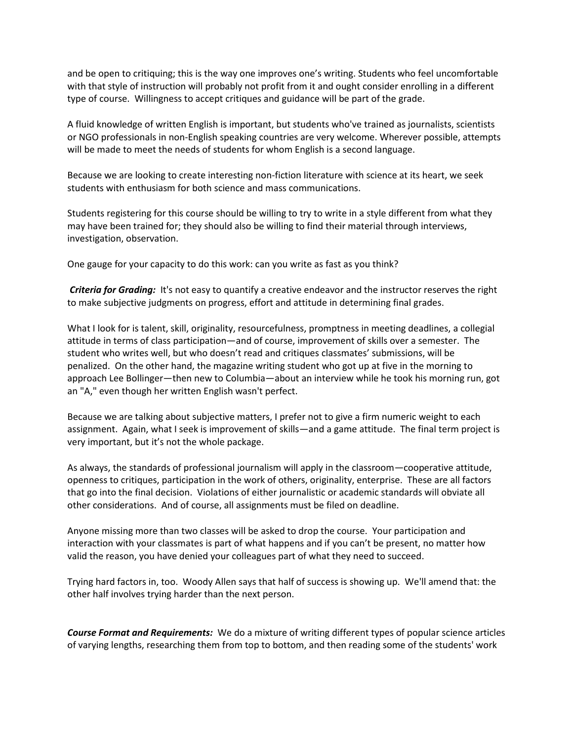and be open to critiquing; this is the way one improves one's writing. Students who feel uncomfortable with that style of instruction will probably not profit from it and ought consider enrolling in a different type of course. Willingness to accept critiques and guidance will be part of the grade.

A fluid knowledge of written English is important, but students who've trained as journalists, scientists or NGO professionals in non-English speaking countries are very welcome. Wherever possible, attempts will be made to meet the needs of students for whom English is a second language.

Because we are looking to create interesting non-fiction literature with science at its heart, we seek students with enthusiasm for both science and mass communications.

Students registering for this course should be willing to try to write in a style different from what they may have been trained for; they should also be willing to find their material through interviews, investigation, observation.

One gauge for your capacity to do this work: can you write as fast as you think?

*Criteria for Grading:* It's not easy to quantify a creative endeavor and the instructor reserves the right to make subjective judgments on progress, effort and attitude in determining final grades.

What I look for is talent, skill, originality, resourcefulness, promptness in meeting deadlines, a collegial attitude in terms of class participation—and of course, improvement of skills over a semester. The student who writes well, but who doesn't read and critiques classmates' submissions, will be penalized. On the other hand, the magazine writing student who got up at five in the morning to approach Lee Bollinger—then new to Columbia—about an interview while he took his morning run, got an "A," even though her written English wasn't perfect.

Because we are talking about subjective matters, I prefer not to give a firm numeric weight to each assignment. Again, what I seek is improvement of skills—and a game attitude. The final term project is very important, but it's not the whole package.

As always, the standards of professional journalism will apply in the classroom—cooperative attitude, openness to critiques, participation in the work of others, originality, enterprise. These are all factors that go into the final decision. Violations of either journalistic or academic standards will obviate all other considerations. And of course, all assignments must be filed on deadline.

Anyone missing more than two classes will be asked to drop the course. Your participation and interaction with your classmates is part of what happens and if you can't be present, no matter how valid the reason, you have denied your colleagues part of what they need to succeed.

Trying hard factors in, too. Woody Allen says that half of success is showing up. We'll amend that: the other half involves trying harder than the next person.

*Course Format and Requirements:* We do a mixture of writing different types of popular science articles of varying lengths, researching them from top to bottom, and then reading some of the students' work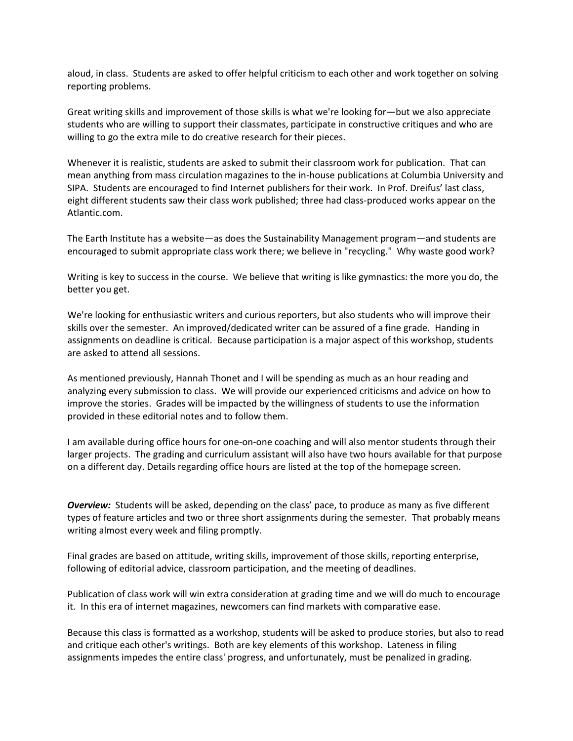aloud, in class. Students are asked to offer helpful criticism to each other and work together on solving reporting problems.

Great writing skills and improvement of those skills is what we're looking for—but we also appreciate students who are willing to support their classmates, participate in constructive critiques and who are willing to go the extra mile to do creative research for their pieces.

Whenever it is realistic, students are asked to submit their classroom work for publication. That can mean anything from mass circulation magazines to the in-house publications at Columbia University and SIPA. Students are encouraged to find Internet publishers for their work. In Prof. Dreifus' last class, eight different students saw their class work published; three had class-produced works appear on the Atlantic.com.

The Earth Institute has a website—as does the Sustainability Management program—and students are encouraged to submit appropriate class work there; we believe in "recycling." Why waste good work?

Writing is key to success in the course. We believe that writing is like gymnastics: the more you do, the better you get.

We're looking for enthusiastic writers and curious reporters, but also students who will improve their skills over the semester. An improved/dedicated writer can be assured of a fine grade. Handing in assignments on deadline is critical. Because participation is a major aspect of this workshop, students are asked to attend all sessions.

As mentioned previously, Hannah Thonet and I will be spending as much as an hour reading and analyzing every submission to class. We will provide our experienced criticisms and advice on how to improve the stories. Grades will be impacted by the willingness of students to use the information provided in these editorial notes and to follow them.

I am available during office hours for one-on-one coaching and will also mentor students through their larger projects. The grading and curriculum assistant will also have two hours available for that purpose on a different day. Details regarding office hours are listed at the top of the homepage screen.

*Overview:* Students will be asked, depending on the class' pace, to produce as many as five different types of feature articles and two or three short assignments during the semester. That probably means writing almost every week and filing promptly.

Final grades are based on attitude, writing skills, improvement of those skills, reporting enterprise, following of editorial advice, classroom participation, and the meeting of deadlines.

Publication of class work will win extra consideration at grading time and we will do much to encourage it. In this era of internet magazines, newcomers can find markets with comparative ease.

Because this class is formatted as a workshop, students will be asked to produce stories, but also to read and critique each other's writings. Both are key elements of this workshop. Lateness in filing assignments impedes the entire class' progress, and unfortunately, must be penalized in grading.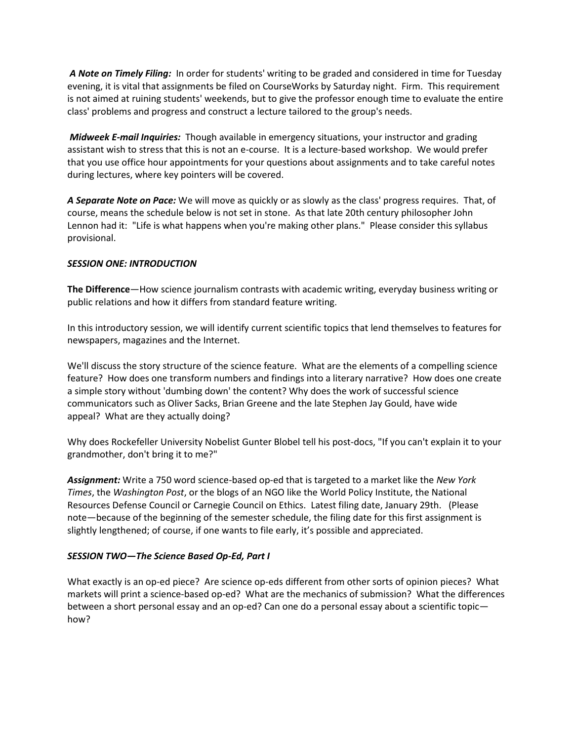*A Note on Timely Filing:* In order for students' writing to be graded and considered in time for Tuesday evening, it is vital that assignments be filed on CourseWorks by Saturday night. Firm. This requirement is not aimed at ruining students' weekends, but to give the professor enough time to evaluate the entire class' problems and progress and construct a lecture tailored to the group's needs.

*Midweek E-mail Inquiries:* Though available in emergency situations, your instructor and grading assistant wish to stress that this is not an e-course. It is a lecture-based workshop. We would prefer that you use office hour appointments for your questions about assignments and to take careful notes during lectures, where key pointers will be covered.

*A Separate Note on Pace:* We will move as quickly or as slowly as the class' progress requires. That, of course, means the schedule below is not set in stone. As that late 20th century philosopher John Lennon had it: "Life is what happens when you're making other plans." Please consider this syllabus provisional.

# *SESSION ONE: INTRODUCTION*

**The Difference**—How science journalism contrasts with academic writing, everyday business writing or public relations and how it differs from standard feature writing.

In this introductory session, we will identify current scientific topics that lend themselves to features for newspapers, magazines and the Internet.

We'll discuss the story structure of the science feature. What are the elements of a compelling science feature? How does one transform numbers and findings into a literary narrative? How does one create a simple story without 'dumbing down' the content? Why does the work of successful science communicators such as Oliver Sacks, Brian Greene and the late Stephen Jay Gould, have wide appeal? What are they actually doing?

Why does Rockefeller University Nobelist Gunter Blobel tell his post-docs, "If you can't explain it to your grandmother, don't bring it to me?"

*Assignment:* Write a 750 word science-based op-ed that is targeted to a market like the *New York Times*, the *Washington Post*, or the blogs of an NGO like the World Policy Institute, the National Resources Defense Council or Carnegie Council on Ethics. Latest filing date, January 29th. (Please note—because of the beginning of the semester schedule, the filing date for this first assignment is slightly lengthened; of course, if one wants to file early, it's possible and appreciated.

# *SESSION TWO***—***The Science Based Op-Ed, Part I*

What exactly is an op-ed piece? Are science op-eds different from other sorts of opinion pieces? What markets will print a science-based op-ed? What are the mechanics of submission? What the differences between a short personal essay and an op-ed? Can one do a personal essay about a scientific topic how?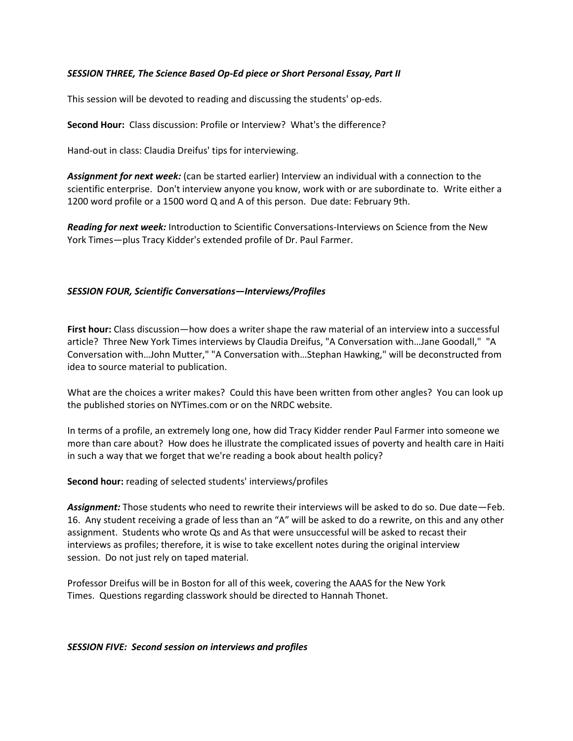# *SESSION THREE, The Science Based Op-Ed piece or Short Personal Essay, Part II*

This session will be devoted to reading and discussing the students' op-eds.

**Second Hour:** Class discussion: Profile or Interview? What's the difference?

Hand-out in class: Claudia Dreifus' tips for interviewing.

*Assignment for next week:* (can be started earlier) Interview an individual with a connection to the scientific enterprise. Don't interview anyone you know, work with or are subordinate to. Write either a 1200 word profile or a 1500 word Q and A of this person. Due date: February 9th.

*Reading for next week:* Introduction to Scientific Conversations-Interviews on Science from the New York Times—plus Tracy Kidder's extended profile of Dr. Paul Farmer.

## *SESSION FOUR, Scientific Conversations—Interviews/Profiles*

**First hour:** Class discussion—how does a writer shape the raw material of an interview into a successful article? Three New York Times interviews by Claudia Dreifus, "A Conversation with…Jane Goodall," "A Conversation with…John Mutter," "A Conversation with…Stephan Hawking," will be deconstructed from idea to source material to publication.

What are the choices a writer makes? Could this have been written from other angles? You can look up the published stories on NYTimes.com or on the NRDC website.

In terms of a profile, an extremely long one, how did Tracy Kidder render Paul Farmer into someone we more than care about? How does he illustrate the complicated issues of poverty and health care in Haiti in such a way that we forget that we're reading a book about health policy?

#### **Second hour:** reading of selected students' interviews/profiles

*Assignment:* Those students who need to rewrite their interviews will be asked to do so. Due date—Feb. 16. Any student receiving a grade of less than an "A" will be asked to do a rewrite, on this and any other assignment. Students who wrote Qs and As that were unsuccessful will be asked to recast their interviews as profiles; therefore, it is wise to take excellent notes during the original interview session. Do not just rely on taped material.

Professor Dreifus will be in Boston for all of this week, covering the AAAS for the New York Times. Questions regarding classwork should be directed to Hannah Thonet.

#### *SESSION FIVE: Second session on interviews and profiles*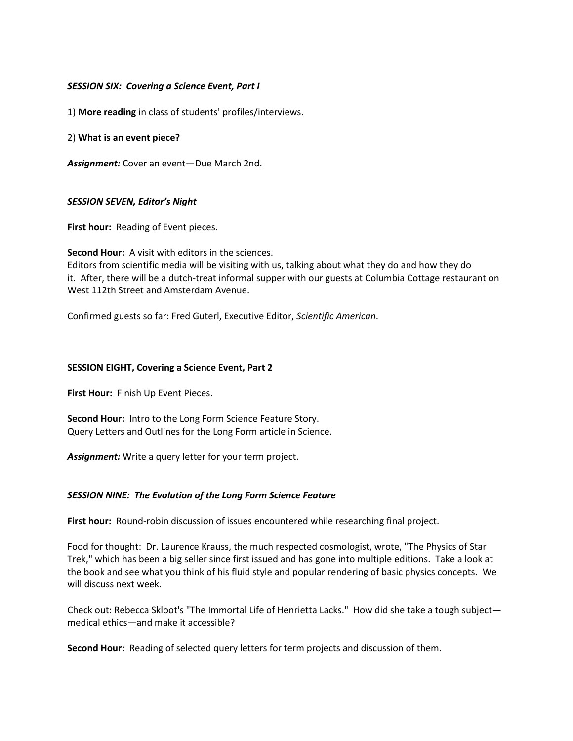## *SESSION SIX: Covering a Science Event, Part I*

1) **More reading** in class of students' profiles/interviews.

## 2) **What is an event piece?**

*Assignment:* Cover an event—Due March 2nd.

## *SESSION SEVEN, Editor's Night*

**First hour:** Reading of Event pieces.

**Second Hour:** A visit with editors in the sciences. Editors from scientific media will be visiting with us, talking about what they do and how they do it. After, there will be a dutch-treat informal supper with our guests at Columbia Cottage restaurant on West 112th Street and Amsterdam Avenue.

Confirmed guests so far: Fred Guterl, Executive Editor, *Scientific American*.

#### **SESSION EIGHT, Covering a Science Event, Part 2**

**First Hour:** Finish Up Event Pieces.

**Second Hour:** Intro to the Long Form Science Feature Story. Query Letters and Outlines for the Long Form article in Science.

*Assignment:* Write a query letter for your term project.

#### *SESSION NINE: The Evolution of the Long Form Science Feature*

**First hour:** Round-robin discussion of issues encountered while researching final project.

Food for thought: Dr. Laurence Krauss, the much respected cosmologist, wrote, "The Physics of Star Trek," which has been a big seller since first issued and has gone into multiple editions. Take a look at the book and see what you think of his fluid style and popular rendering of basic physics concepts. We will discuss next week.

Check out: Rebecca Skloot's "The Immortal Life of Henrietta Lacks." How did she take a tough subject medical ethics—and make it accessible?

**Second Hour:** Reading of selected query letters for term projects and discussion of them.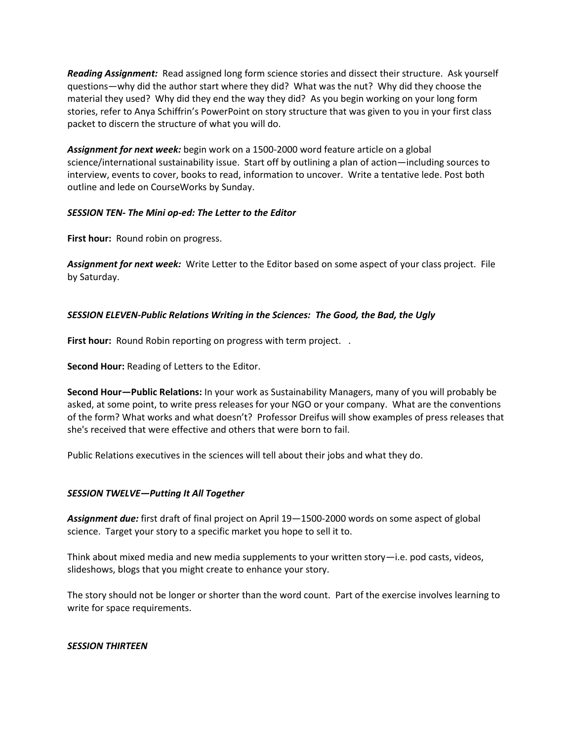*Reading Assignment:* Read assigned long form science stories and dissect their structure. Ask yourself questions—why did the author start where they did? What was the nut? Why did they choose the material they used? Why did they end the way they did? As you begin working on your long form stories, refer to Anya Schiffrin's PowerPoint on story structure that was given to you in your first class packet to discern the structure of what you will do.

*Assignment for next week:* begin work on a 1500-2000 word feature article on a global science/international sustainability issue. Start off by outlining a plan of action—including sources to interview, events to cover, books to read, information to uncover. Write a tentative lede. Post both outline and lede on CourseWorks by Sunday.

# *SESSION TEN- The Mini op-ed: The Letter to the Editor*

**First hour:** Round robin on progress.

*Assignment for next week:* Write Letter to the Editor based on some aspect of your class project. File by Saturday.

# *SESSION ELEVEN-Public Relations Writing in the Sciences: The Good, the Bad, the Ugly*

**First hour:** Round Robin reporting on progress with term project...

**Second Hour:** Reading of Letters to the Editor.

**Second Hour—Public Relations:** In your work as Sustainability Managers, many of you will probably be asked, at some point, to write press releases for your NGO or your company. What are the conventions of the form? What works and what doesn't? Professor Dreifus will show examples of press releases that she's received that were effective and others that were born to fail.

Public Relations executives in the sciences will tell about their jobs and what they do.

# *SESSION TWELVE—Putting It All Together*

*Assignment due:* first draft of final project on April 19—1500-2000 words on some aspect of global science. Target your story to a specific market you hope to sell it to.

Think about mixed media and new media supplements to your written story—i.e. pod casts, videos, slideshows, blogs that you might create to enhance your story.

The story should not be longer or shorter than the word count. Part of the exercise involves learning to write for space requirements.

# *SESSION THIRTEEN*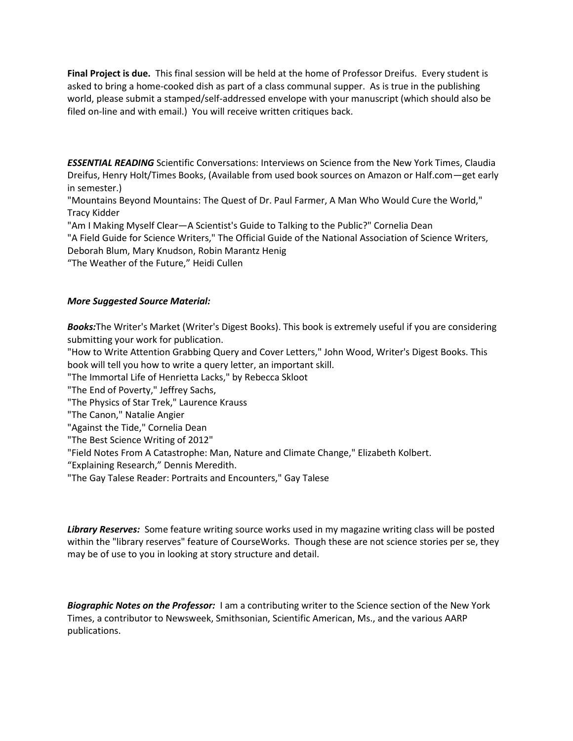**Final Project is due.** This final session will be held at the home of Professor Dreifus. Every student is asked to bring a home-cooked dish as part of a class communal supper. As is true in the publishing world, please submit a stamped/self-addressed envelope with your manuscript (which should also be filed on-line and with email.) You will receive written critiques back.

*ESSENTIAL READING* Scientific Conversations: Interviews on Science from the New York Times, Claudia Dreifus, Henry Holt/Times Books, (Available from used book sources on Amazon or Half.com—get early in semester.)

"Mountains Beyond Mountains: The Quest of Dr. Paul Farmer, A Man Who Would Cure the World," Tracy Kidder

"Am I Making Myself Clear—A Scientist's Guide to Talking to the Public?" Cornelia Dean

"A Field Guide for Science Writers," The Official Guide of the National Association of Science Writers, Deborah Blum, Mary Knudson, Robin Marantz Henig

"The Weather of the Future," Heidi Cullen

## *More Suggested Source Material:*

*Books:*The Writer's Market (Writer's Digest Books). This book is extremely useful if you are considering submitting your work for publication.

"How to Write Attention Grabbing Query and Cover Letters," John Wood, Writer's Digest Books. This book will tell you how to write a query letter, an important skill.

"The Immortal Life of Henrietta Lacks," by Rebecca Skloot

"The End of Poverty," Jeffrey Sachs,

"The Physics of Star Trek," Laurence Krauss

- "The Canon," Natalie Angier
- "Against the Tide," Cornelia Dean
- "The Best Science Writing of 2012"
- "Field Notes From A Catastrophe: Man, Nature and Climate Change," Elizabeth Kolbert.
- "Explaining Research," Dennis Meredith.
- "The Gay Talese Reader: Portraits and Encounters," Gay Talese

*Library Reserves:* Some feature writing source works used in my magazine writing class will be posted within the "library reserves" feature of CourseWorks. Though these are not science stories per se, they may be of use to you in looking at story structure and detail.

*Biographic Notes on the Professor:* I am a contributing writer to the Science section of the New York Times, a contributor to Newsweek, Smithsonian, Scientific American, Ms., and the various AARP publications.